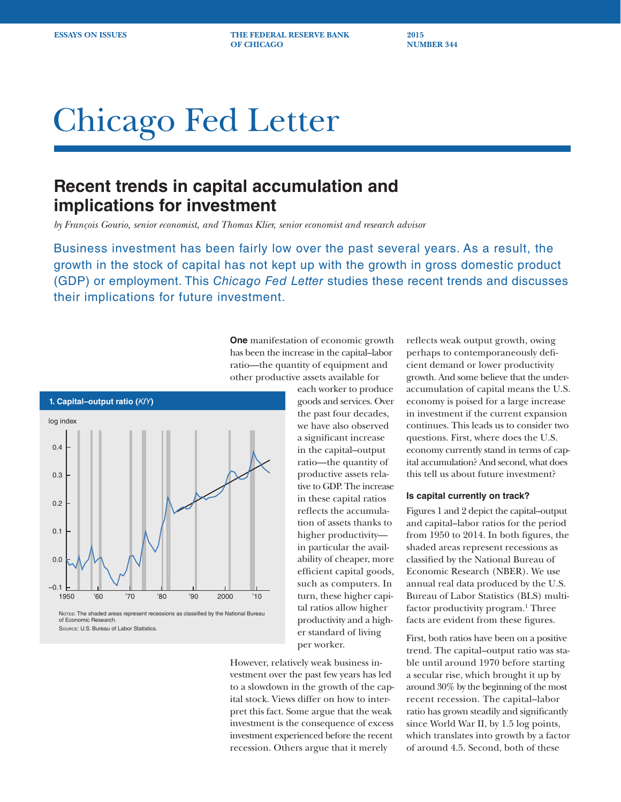**ESSAYS ON ISSUES** THE FEDERAL RESERVE BANK 2015 **OF CHICAGO NUMBER 344** 

# Chicago Fed Letter

# **Recent trends in capital accumulation and implications for investment**

*by François Gourio, senior economist, and Thomas Klier, senior economist and research advisor*

Business investment has been fairly low over the past several years. As a result, the growth in the stock of capital has not kept up with the growth in gross domestic product (GDP) or employment. This *Chicago Fed Letter* studies these recent trends and discusses their implications for future investment.

> **One** manifestation of economic growth has been the increase in the capital–labor ratio—the quantity of equipment and other productive assets available for

each worker to produce goods and services. Over the past four decades, we have also observed a significant increase in the capital–output ratio—the quantity of productive assets relative to GDP. The increase in these capital ratios reflects the accumulation of assets thanks to higher productivity in particular the availability of cheaper, more efficient capital goods, such as computers. In turn, these higher capital ratios allow higher productivity and a higher standard of living per worker.

However, relatively weak business investment over the past few years has led to a slowdown in the growth of the capital stock. Views differ on how to interpret this fact. Some argue that the weak investment is the consequence of excess investment experienced before the recent recession. Others argue that it merely

reflects weak output growth, owing perhaps to contemporaneously deficient demand or lower productivity growth. And some believe that the underaccumulation of capital means the U.S. economy is poised for a large increase in investment if the current expansion continues. This leads us to consider two questions. First, where does the U.S. economy currently stand in terms of capital accumulation? And second, what does this tell us about future investment?

# **Is capital currently on track?**

Figures 1 and 2 depict the capital–output and capital–labor ratios for the period from 1950 to 2014. In both figures, the shaded areas represent recessions as classified by the National Bureau of Economic Research (NBER). We use annual real data produced by the U.S. Bureau of Labor Statistics (BLS) multifactor productivity program.<sup>1</sup> Three facts are evident from these figures.

First, both ratios have been on a positive trend. The capital–output ratio was stable until around 1970 before starting a secular rise, which brought it up by around 30% by the beginning of the most recent recession. The capital–labor ratio has grown steadily and significantly since World War II, by 1.5 log points, which translates into growth by a factor of around 4.5. Second, both of these



of Economic Research. Source: U.S. Bureau of Labor Statistics.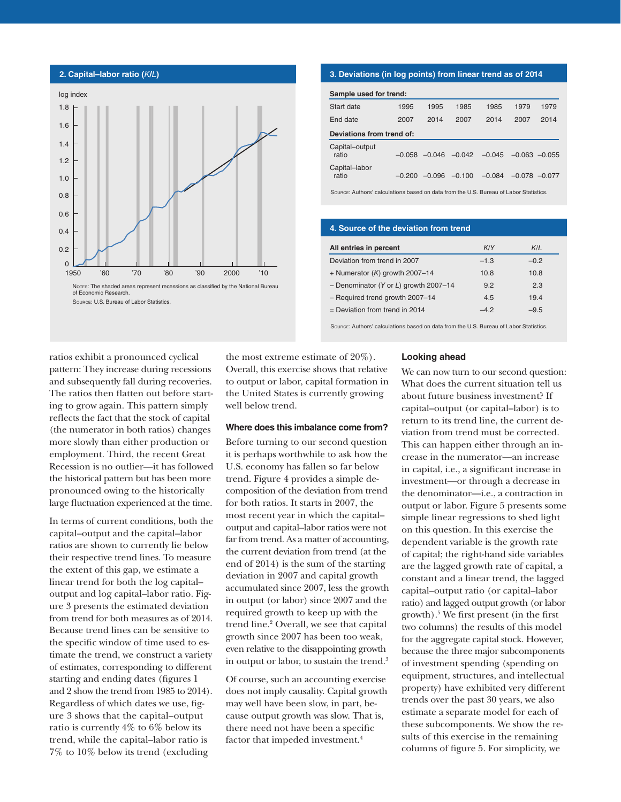

## **3. Deviations (in log points) from linear trend as of 2014**

| Sample used for trend:    |          |          |          |          |                   |      |  |  |  |
|---------------------------|----------|----------|----------|----------|-------------------|------|--|--|--|
| Start date                | 1995     | 1995     | 1985     | 1985     | 1979              | 1979 |  |  |  |
| End date                  | 2007     | 2014     | 2007     | 2014     | 2007              | 2014 |  |  |  |
| Deviations from trend of: |          |          |          |          |                   |      |  |  |  |
| Capital-output<br>ratio   | $-0.058$ | $-0.046$ | $-0.042$ | $-0.045$ | $-0.063 - 0.055$  |      |  |  |  |
| Capital-labor<br>ratio    | -0.200   | $-0.096$ | $-0.100$ | $-0.084$ | $-0.078$ $-0.077$ |      |  |  |  |

Source: Authors' calculations based on data from the U.S. Bureau of Labor Statistics.

# **4. Source of the deviation from trend**

| All entries in percent                | K/Y    | K/L    |
|---------------------------------------|--------|--------|
| Deviation from trend in 2007          | $-1.3$ | $-0.2$ |
| + Numerator $(K)$ growth 2007-14      | 10.8   | 10.8   |
| - Denominator (Y or L) growth 2007-14 | 9.2    | 2.3    |
| - Required trend growth 2007-14       | 4.5    | 19.4   |
| $=$ Deviation from trend in 2014      | -42    | $-9.5$ |

Source: Authors' calculations based on data from the U.S. Bureau of Labor Statistics.

ratios exhibit a pronounced cyclical pattern: They increase during recessions and subsequently fall during recoveries. The ratios then flatten out before starting to grow again. This pattern simply reflects the fact that the stock of capital (the numerator in both ratios) changes more slowly than either production or employment. Third, the recent Great Recession is no outlier—it has followed the historical pattern but has been more pronounced owing to the historically large fluctuation experienced at the time.

In terms of current conditions, both the capital–output and the capital–labor ratios are shown to currently lie below their respective trend lines. To measure the extent of this gap, we estimate a linear trend for both the log capital– output and log capital–labor ratio. Figure 3 presents the estimated deviation from trend for both measures as of 2014. Because trend lines can be sensitive to the specific window of time used to estimate the trend, we construct a variety of estimates, corresponding to different starting and ending dates (figures 1 and 2 show the trend from 1985 to 2014). Regardless of which dates we use, figure 3 shows that the capital–output ratio is currently 4% to 6% below its trend, while the capital–labor ratio is 7% to 10% below its trend (excluding

the most extreme estimate of 20%). Overall, this exercise shows that relative to output or labor, capital formation in the United States is currently growing well below trend.

#### **Where does this imbalance come from?**

Before turning to our second question it is perhaps worthwhile to ask how the U.S. economy has fallen so far below trend. Figure 4 provides a simple decomposition of the deviation from trend for both ratios. It starts in 2007, the most recent year in which the capital– output and capital–labor ratios were not far from trend. As a matter of accounting, the current deviation from trend (at the end of 2014) is the sum of the starting deviation in 2007 and capital growth accumulated since 2007, less the growth in output (or labor) since 2007 and the required growth to keep up with the trend line.<sup>2</sup> Overall, we see that capital growth since 2007 has been too weak, even relative to the disappointing growth in output or labor, to sustain the trend.<sup>3</sup>

Of course, such an accounting exercise does not imply causality. Capital growth may well have been slow, in part, because output growth was slow. That is, there need not have been a specific factor that impeded investment.<sup>4</sup>

#### **Looking ahead**

We can now turn to our second question: What does the current situation tell us about future business investment? If capital–output (or capital–labor) is to return to its trend line, the current deviation from trend must be corrected. This can happen either through an increase in the numerator—an increase in capital, i.e., a significant increase in investment—or through a decrease in the denominator—i.e., a contraction in output or labor. Figure 5 presents some simple linear regressions to shed light on this question. In this exercise the dependent variable is the growth rate of capital; the right-hand side variables are the lagged growth rate of capital, a constant and a linear trend, the lagged capital–output ratio (or capital–labor ratio) and lagged output growth (or labor growth).5 We first present (in the first two columns) the results of this model for the aggregate capital stock. However, because the three major subcomponents of investment spending (spending on equipment, structures, and intellectual property) have exhibited very different trends over the past 30 years, we also estimate a separate model for each of these subcomponents. We show the results of this exercise in the remaining columns of figure 5. For simplicity, we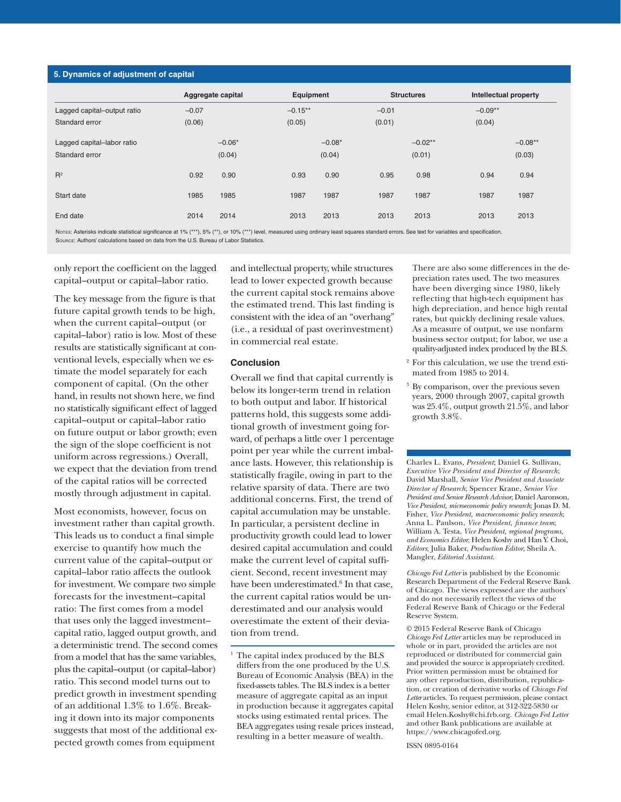### **5. Dynamics of adjustment of capital**

|                             | Aggregate capital |          | Equipment |          | <b>Structures</b> |           | Intellectual property |           |
|-----------------------------|-------------------|----------|-----------|----------|-------------------|-----------|-----------------------|-----------|
| Lagged capital-output ratio | $-0.07$           |          | $-0.15**$ |          | $-0.01$           |           | $-0.09**$             |           |
| Standard error              | (0.06)            |          | (0.05)    |          | (0.01)            |           | (0.04)                |           |
| Lagged capital-labor ratio  |                   | $-0.06*$ |           | $-0.08*$ |                   | $-0.02**$ |                       | $-0.08**$ |
| Standard error              |                   | (0.04)   |           | (0.04)   |                   | (0.01)    |                       | (0.03)    |
| $R^2$                       | 0.92              | 0.90     | 0.93      | 0.90     | 0.95              | 0.98      | 0.94                  | 0.94      |
| Start date                  | 1985              | 1985     | 1987      | 1987     | 1987              | 1987      | 1987                  | 1987      |
| End date                    | 2014              | 2014     | 2013      | 2013     | 2013              | 2013      | 2013                  | 2013      |

Nores: Asterisks indicate statistical significance at 1% (\*\*\*), 5% (\*\*), or 10% (\*\*\*) level, measured using ordinary least squares standard errors. See text for variables and specification. Source: Authors' calculations based on data from the U.S. Bureau of Labor Statistics.

only report the coefficient on the lagged capital–output or capital–labor ratio.

The key message from the figure is that future capital growth tends to be high, when the current capital–output (or capital–labor) ratio is low. Most of these results are statistically significant at conventional levels, especially when we estimate the model separately for each component of capital. (On the other hand, in results not shown here, we find no statistically significant effect of lagged capital–output or capital–labor ratio on future output or labor growth; even the sign of the slope coefficient is not uniform across regressions.) Overall, we expect that the deviation from trend of the capital ratios will be corrected mostly through adjustment in capital.

Most economists, however, focus on investment rather than capital growth. This leads us to conduct a final simple exercise to quantify how much the current value of the capital–output or capital–labor ratio affects the outlook for investment. We compare two simple forecasts for the investment–capital ratio: The first comes from a model that uses only the lagged investment– capital ratio, lagged output growth, and a deterministic trend. The second comes from a model that has the same variables, plus the capital–output (or capital–labor) ratio. This second model turns out to predict growth in investment spending of an additional 1.3% to 1.6%. Breaking it down into its major components suggests that most of the additional expected growth comes from equipment

and intellectual property, while structures lead to lower expected growth because the current capital stock remains above the estimated trend. This last finding is consistent with the idea of an "overhang" (i.e., a residual of past overinvestment) in commercial real estate.

# **Conclusion**

Overall we find that capital currently is below its longer-term trend in relation to both output and labor. If historical patterns hold, this suggests some additional growth of investment going forward, of perhaps a little over 1 percentage point per year while the current imbalance lasts. However, this relationship is statistically fragile, owing in part to the relative sparsity of data. There are two additional concerns. First, the trend of capital accumulation may be unstable. In particular, a persistent decline in productivity growth could lead to lower desired capital accumulation and could make the current level of capital sufficient. Second, recent investment may have been underestimated.<sup>6</sup> In that case, the current capital ratios would be underestimated and our analysis would overestimate the extent of their deviation from trend.

There are also some differences in the depreciation rates used. The two measures have been diverging since 1980, likely reflecting that high-tech equipment has high depreciation, and hence high rental rates, but quickly declining resale values. As a measure of output, we use nonfarm business sector output; for labor, we use a quality-adjusted index produced by the BLS.

- <sup>2</sup> For this calculation, we use the trend estimated from 1985 to 2014.
- By comparison, over the previous seven years, 2000 through 2007, capital growth was 25.4%, output growth 21.5%, and labor growth 3.8%.

Charles L. Evans, *President*; Daniel G. Sullivan, *Executive Vice President and Director of Research*; David Marshall, *Senior Vice President and Associate Director of Research*; Spencer Krane, *Senior Vice President and Senior Research Advisor*; Daniel Aaronson, *Vice President, microeconomic policy research*; Jonas D. M. Fisher, *Vice President, macroeconomic policy research*; Anna L. Paulson, *Vice President, finance team*; William A. Testa, *Vice President, regional programs, and Economics Editor*; Helen Koshy and Han Y. Choi, *Editors*; Julia Baker, *Production Editor*; Sheila A. Mangler, *Editorial Assistant*.

*Chicago Fed Letter* is published by the Economic Research Department of the Federal Reserve Bank of Chicago. The views expressed are the authors' and do not necessarily reflect the views of the Federal Reserve Bank of Chicago or the Federal Reserve System.

© 2015 Federal Reserve Bank of Chicago *Chicago Fed Letter* articles may be reproduced in whole or in part, provided the articles are not reproduced or distributed for commercial gain and provided the source is appropriately credited. Prior written permission must be obtained for any other reproduction, distribution, republication, or creation of derivative works of *Chicago Fed Letter* articles. To request permission, please contact Helen Koshy, senior editor, at 312-322-5830 or email Helen.Koshy@chi.frb.org. *Chicago Fed Letter*  and other Bank publications are available at https://www.chicagofed.org.

ISSN 0895-0164

<sup>&</sup>lt;sup>1</sup> The capital index produced by the BLS differs from the one produced by the U.S. Bureau of Economic Analysis (BEA) in the fixed-assets tables. The BLS index is a better measure of aggregate capital as an input in production because it aggregates capital stocks using estimated rental prices. The BEA aggregates using resale prices instead, resulting in a better measure of wealth.